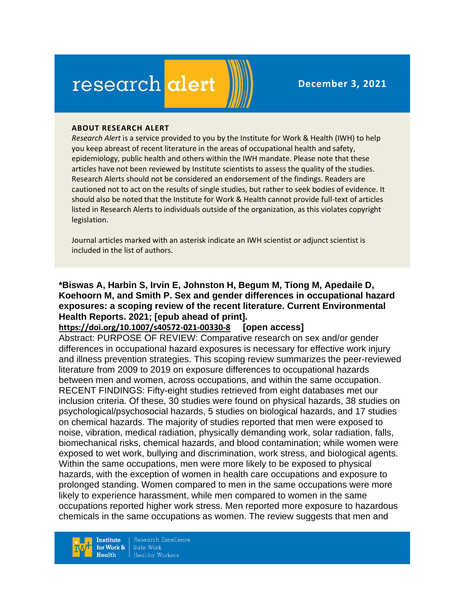# research alert

#### **ABOUT RESEARCH ALERT**

*Research Alert* is a service provided to you by the Institute for Work & Health (IWH) to help you keep abreast of recent literature in the areas of occupational health and safety, epidemiology, public health and others within the IWH mandate. Please note that these articles have not been reviewed by Institute scientists to assess the quality of the studies. Research Alerts should not be considered an endorsement of the findings. Readers are cautioned not to act on the results of single studies, but rather to seek bodies of evidence. It should also be noted that the Institute for Work & Health cannot provide full-text of articles listed in Research Alerts to individuals outside of the organization, as this violates copyright legislation.

Journal articles marked with an asterisk indicate an IWH scientist or adjunct scientist is included in the list of authors.

#### **\*Biswas A, Harbin S, Irvin E, Johnston H, Begum M, Tiong M, Apedaile D, Koehoorn M, and Smith P. Sex and gender differences in occupational hazard exposures: a scoping review of the recent literature. Current Environmental Health Reports. 2021; [epub ahead of print].**

**<https://doi.org/10.1007/s40572-021-00330-8> [open access]**

Abstract: PURPOSE OF REVIEW: Comparative research on sex and/or gender differences in occupational hazard exposures is necessary for effective work injury and illness prevention strategies. This scoping review summarizes the peer-reviewed literature from 2009 to 2019 on exposure differences to occupational hazards between men and women, across occupations, and within the same occupation. RECENT FINDINGS: Fifty-eight studies retrieved from eight databases met our inclusion criteria. Of these, 30 studies were found on physical hazards, 38 studies on psychological/psychosocial hazards, 5 studies on biological hazards, and 17 studies on chemical hazards. The majority of studies reported that men were exposed to noise, vibration, medical radiation, physically demanding work, solar radiation, falls, biomechanical risks, chemical hazards, and blood contamination; while women were exposed to wet work, bullying and discrimination, work stress, and biological agents. Within the same occupations, men were more likely to be exposed to physical hazards, with the exception of women in health care occupations and exposure to prolonged standing. Women compared to men in the same occupations were more likely to experience harassment, while men compared to women in the same occupations reported higher work stress. Men reported more exposure to hazardous chemicals in the same occupations as women. The review suggests that men and

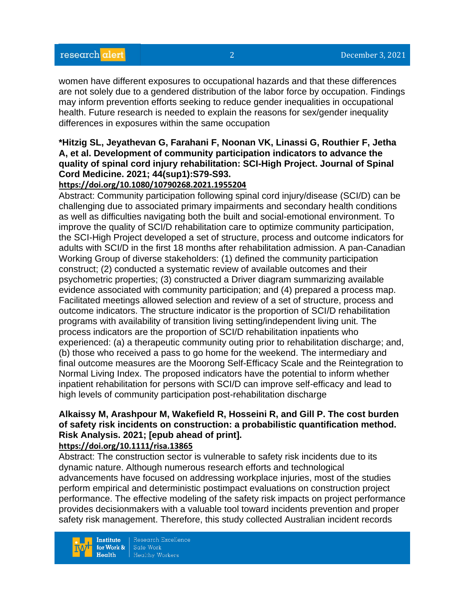women have different exposures to occupational hazards and that these differences are not solely due to a gendered distribution of the labor force by occupation. Findings may inform prevention efforts seeking to reduce gender inequalities in occupational health. Future research is needed to explain the reasons for sex/gender inequality differences in exposures within the same occupation

## **\*Hitzig SL, Jeyathevan G, Farahani F, Noonan VK, Linassi G, Routhier F, Jetha A, et al. Development of community participation indicators to advance the quality of spinal cord injury rehabilitation: SCI-High Project. Journal of Spinal Cord Medicine. 2021; 44(sup1):S79-S93.**

### **<https://doi.org/10.1080/10790268.2021.1955204>**

Abstract: Community participation following spinal cord injury/disease (SCI/D) can be challenging due to associated primary impairments and secondary health conditions as well as difficulties navigating both the built and social-emotional environment. To improve the quality of SCI/D rehabilitation care to optimize community participation, the SCI-High Project developed a set of structure, process and outcome indicators for adults with SCI/D in the first 18 months after rehabilitation admission. A pan-Canadian Working Group of diverse stakeholders: (1) defined the community participation construct; (2) conducted a systematic review of available outcomes and their psychometric properties; (3) constructed a Driver diagram summarizing available evidence associated with community participation; and (4) prepared a process map. Facilitated meetings allowed selection and review of a set of structure, process and outcome indicators. The structure indicator is the proportion of SCI/D rehabilitation programs with availability of transition living setting/independent living unit. The process indicators are the proportion of SCI/D rehabilitation inpatients who experienced: (a) a therapeutic community outing prior to rehabilitation discharge; and, (b) those who received a pass to go home for the weekend. The intermediary and final outcome measures are the Moorong Self-Efficacy Scale and the Reintegration to Normal Living Index. The proposed indicators have the potential to inform whether inpatient rehabilitation for persons with SCI/D can improve self-efficacy and lead to high levels of community participation post-rehabilitation discharge

## **Alkaissy M, Arashpour M, Wakefield R, Hosseini R, and Gill P. The cost burden of safety risk incidents on construction: a probabilistic quantification method. Risk Analysis. 2021; [epub ahead of print].**

## **<https://doi.org/10.1111/risa.13865>**

Abstract: The construction sector is vulnerable to safety risk incidents due to its dynamic nature. Although numerous research efforts and technological advancements have focused on addressing workplace injuries, most of the studies perform empirical and deterministic postimpact evaluations on construction project performance. The effective modeling of the safety risk impacts on project performance provides decisionmakers with a valuable tool toward incidents prevention and proper safety risk management. Therefore, this study collected Australian incident records



Research Excellence Safe Work **Healthy Workers**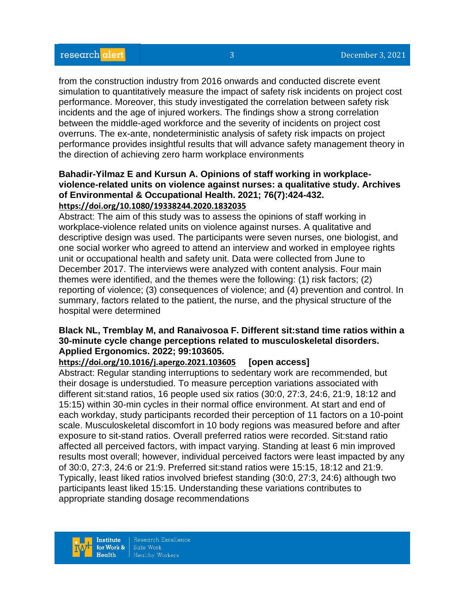from the construction industry from 2016 onwards and conducted discrete event simulation to quantitatively measure the impact of safety risk incidents on project cost performance. Moreover, this study investigated the correlation between safety risk incidents and the age of injured workers. The findings show a strong correlation between the middle-aged workforce and the severity of incidents on project cost overruns. The ex-ante, nondeterministic analysis of safety risk impacts on project performance provides insightful results that will advance safety management theory in the direction of achieving zero harm workplace environments

#### **Bahadir-Yilmaz E and Kursun A. Opinions of staff working in workplaceviolence-related units on violence against nurses: a qualitative study. Archives of Environmental & Occupational Health. 2021; 76(7):424-432. <https://doi.org/10.1080/19338244.2020.1832035>**

Abstract: The aim of this study was to assess the opinions of staff working in workplace-violence related units on violence against nurses. A qualitative and descriptive design was used. The participants were seven nurses, one biologist, and one social worker who agreed to attend an interview and worked in employee rights unit or occupational health and safety unit. Data were collected from June to December 2017. The interviews were analyzed with content analysis. Four main themes were identified, and the themes were the following: (1) risk factors; (2) reporting of violence; (3) consequences of violence; and (4) prevention and control. In summary, factors related to the patient, the nurse, and the physical structure of the hospital were determined

## **Black NL, Tremblay M, and Ranaivosoa F. Different sit:stand time ratios within a 30-minute cycle change perceptions related to musculoskeletal disorders. Applied Ergonomics. 2022; 99:103605.**

**<https://doi.org/10.1016/j.apergo.2021.103605> [open access]**

Abstract: Regular standing interruptions to sedentary work are recommended, but their dosage is understudied. To measure perception variations associated with different sit:stand ratios, 16 people used six ratios (30:0, 27:3, 24:6, 21:9, 18:12 and 15:15) within 30-min cycles in their normal office environment. At start and end of each workday, study participants recorded their perception of 11 factors on a 10-point scale. Musculoskeletal discomfort in 10 body regions was measured before and after exposure to sit-stand ratios. Overall preferred ratios were recorded. Sit:stand ratio affected all perceived factors, with impact varying. Standing at least 6 min improved results most overall; however, individual perceived factors were least impacted by any of 30:0, 27:3, 24:6 or 21:9. Preferred sit:stand ratios were 15:15, 18:12 and 21:9. Typically, least liked ratios involved briefest standing (30:0, 27:3, 24:6) although two participants least liked 15:15. Understanding these variations contributes to appropriate standing dosage recommendations

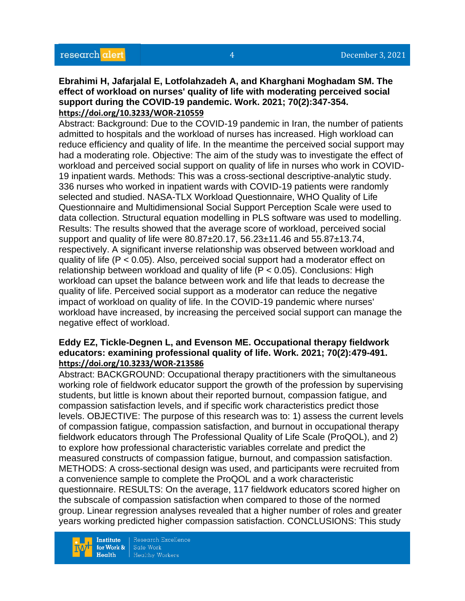#### **Ebrahimi H, Jafarjalal E, Lotfolahzadeh A, and Kharghani Moghadam SM. The effect of workload on nurses' quality of life with moderating perceived social support during the COVID-19 pandemic. Work. 2021; 70(2):347-354. <https://doi.org/10.3233/WOR-210559>**

Abstract: Background: Due to the COVID-19 pandemic in Iran, the number of patients admitted to hospitals and the workload of nurses has increased. High workload can reduce efficiency and quality of life. In the meantime the perceived social support may had a moderating role. Objective: The aim of the study was to investigate the effect of workload and perceived social support on quality of life in nurses who work in COVID-19 inpatient wards. Methods: This was a cross-sectional descriptive-analytic study. 336 nurses who worked in inpatient wards with COVID-19 patients were randomly selected and studied. NASA-TLX Workload Questionnaire, WHO Quality of Life Questionnaire and Multidimensional Social Support Perception Scale were used to data collection. Structural equation modelling in PLS software was used to modelling. Results: The results showed that the average score of workload, perceived social support and quality of life were 80.87±20.17, 56.23±11.46 and 55.87±13.74, respectively. A significant inverse relationship was observed between workload and quality of life (P < 0.05). Also, perceived social support had a moderator effect on relationship between workload and quality of life  $(P < 0.05)$ . Conclusions: High workload can upset the balance between work and life that leads to decrease the quality of life. Perceived social support as a moderator can reduce the negative impact of workload on quality of life. In the COVID-19 pandemic where nurses' workload have increased, by increasing the perceived social support can manage the negative effect of workload.

#### **Eddy EZ, Tickle-Degnen L, and Evenson ME. Occupational therapy fieldwork educators: examining professional quality of life. Work. 2021; 70(2):479-491. <https://doi.org/10.3233/WOR-213586>**

Abstract: BACKGROUND: Occupational therapy practitioners with the simultaneous working role of fieldwork educator support the growth of the profession by supervising students, but little is known about their reported burnout, compassion fatigue, and compassion satisfaction levels, and if specific work characteristics predict those levels. OBJECTIVE: The purpose of this research was to: 1) assess the current levels of compassion fatigue, compassion satisfaction, and burnout in occupational therapy fieldwork educators through The Professional Quality of Life Scale (ProQOL), and 2) to explore how professional characteristic variables correlate and predict the measured constructs of compassion fatigue, burnout, and compassion satisfaction. METHODS: A cross-sectional design was used, and participants were recruited from a convenience sample to complete the ProQOL and a work characteristic questionnaire. RESULTS: On the average, 117 fieldwork educators scored higher on the subscale of compassion satisfaction when compared to those of the normed group. Linear regression analyses revealed that a higher number of roles and greater years working predicted higher compassion satisfaction. CONCLUSIONS: This study

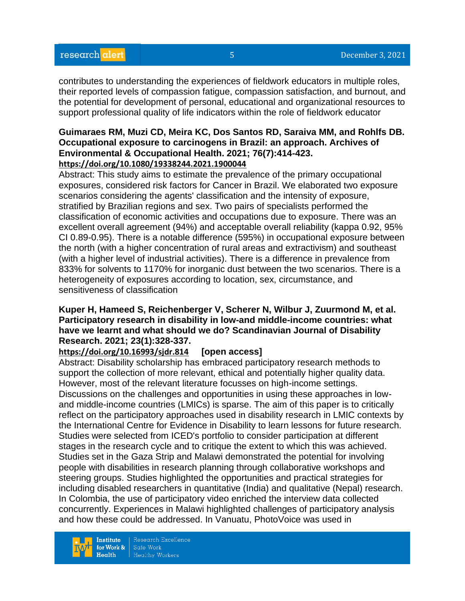contributes to understanding the experiences of fieldwork educators in multiple roles, their reported levels of compassion fatigue, compassion satisfaction, and burnout, and the potential for development of personal, educational and organizational resources to support professional quality of life indicators within the role of fieldwork educator

#### **Guimaraes RM, Muzi CD, Meira KC, Dos Santos RD, Saraiva MM, and Rohlfs DB. Occupational exposure to carcinogens in Brazil: an approach. Archives of Environmental & Occupational Health. 2021; 76(7):414-423. <https://doi.org/10.1080/19338244.2021.1900044>**

Abstract: This study aims to estimate the prevalence of the primary occupational exposures, considered risk factors for Cancer in Brazil. We elaborated two exposure scenarios considering the agents' classification and the intensity of exposure, stratified by Brazilian regions and sex. Two pairs of specialists performed the classification of economic activities and occupations due to exposure. There was an excellent overall agreement (94%) and acceptable overall reliability (kappa 0.92, 95% CI 0.89-0.95). There is a notable difference (595%) in occupational exposure between the north (with a higher concentration of rural areas and extractivism) and southeast (with a higher level of industrial activities). There is a difference in prevalence from 833% for solvents to 1170% for inorganic dust between the two scenarios. There is a heterogeneity of exposures according to location, sex, circumstance, and sensitiveness of classification

## **Kuper H, Hameed S, Reichenberger V, Scherer N, Wilbur J, Zuurmond M, et al. Participatory research in disability in low-and middle-income countries: what have we learnt and what should we do? Scandinavian Journal of Disability Research. 2021; 23(1):328-337.**

### **<https://doi.org/10.16993/sjdr.814> [open access]**

Abstract: Disability scholarship has embraced participatory research methods to support the collection of more relevant, ethical and potentially higher quality data. However, most of the relevant literature focusses on high-income settings. Discussions on the challenges and opportunities in using these approaches in lowand middle-income countries (LMICs) is sparse. The aim of this paper is to critically reflect on the participatory approaches used in disability research in LMIC contexts by the International Centre for Evidence in Disability to learn lessons for future research. Studies were selected from ICED's portfolio to consider participation at different stages in the research cycle and to critique the extent to which this was achieved. Studies set in the Gaza Strip and Malawi demonstrated the potential for involving people with disabilities in research planning through collaborative workshops and steering groups. Studies highlighted the opportunities and practical strategies for including disabled researchers in quantitative (India) and qualitative (Nepal) research. In Colombia, the use of participatory video enriched the interview data collected concurrently. Experiences in Malawi highlighted challenges of participatory analysis and how these could be addressed. In Vanuatu, PhotoVoice was used in

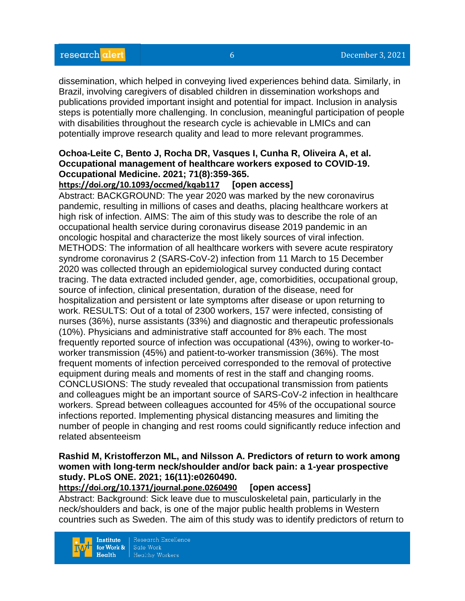dissemination, which helped in conveying lived experiences behind data. Similarly, in Brazil, involving caregivers of disabled children in dissemination workshops and publications provided important insight and potential for impact. Inclusion in analysis steps is potentially more challenging. In conclusion, meaningful participation of people with disabilities throughout the research cycle is achievable in LMICs and can potentially improve research quality and lead to more relevant programmes.

## **Ochoa-Leite C, Bento J, Rocha DR, Vasques I, Cunha R, Oliveira A, et al. Occupational management of healthcare workers exposed to COVID-19. Occupational Medicine. 2021; 71(8):359-365.**

## **<https://doi.org/10.1093/occmed/kqab117> [open access]**

Abstract: BACKGROUND: The year 2020 was marked by the new coronavirus pandemic, resulting in millions of cases and deaths, placing healthcare workers at high risk of infection. AIMS: The aim of this study was to describe the role of an occupational health service during coronavirus disease 2019 pandemic in an oncologic hospital and characterize the most likely sources of viral infection. METHODS: The information of all healthcare workers with severe acute respiratory syndrome coronavirus 2 (SARS-CoV-2) infection from 11 March to 15 December 2020 was collected through an epidemiological survey conducted during contact tracing. The data extracted included gender, age, comorbidities, occupational group, source of infection, clinical presentation, duration of the disease, need for hospitalization and persistent or late symptoms after disease or upon returning to work. RESULTS: Out of a total of 2300 workers, 157 were infected, consisting of nurses (36%), nurse assistants (33%) and diagnostic and therapeutic professionals (10%). Physicians and administrative staff accounted for 8% each. The most frequently reported source of infection was occupational (43%), owing to worker-toworker transmission (45%) and patient-to-worker transmission (36%). The most frequent moments of infection perceived corresponded to the removal of protective equipment during meals and moments of rest in the staff and changing rooms. CONCLUSIONS: The study revealed that occupational transmission from patients and colleagues might be an important source of SARS-CoV-2 infection in healthcare workers. Spread between colleagues accounted for 45% of the occupational source infections reported. Implementing physical distancing measures and limiting the number of people in changing and rest rooms could significantly reduce infection and related absenteeism

## **Rashid M, Kristofferzon ML, and Nilsson A. Predictors of return to work among women with long-term neck/shoulder and/or back pain: a 1-year prospective study. PLoS ONE. 2021; 16(11):e0260490.**

**<https://doi.org/10.1371/journal.pone.0260490> [open access]**

Abstract: Background: Sick leave due to musculoskeletal pain, particularly in the neck/shoulders and back, is one of the major public health problems in Western countries such as Sweden. The aim of this study was to identify predictors of return to



Research Excellence Safe Work **Healthy Workers**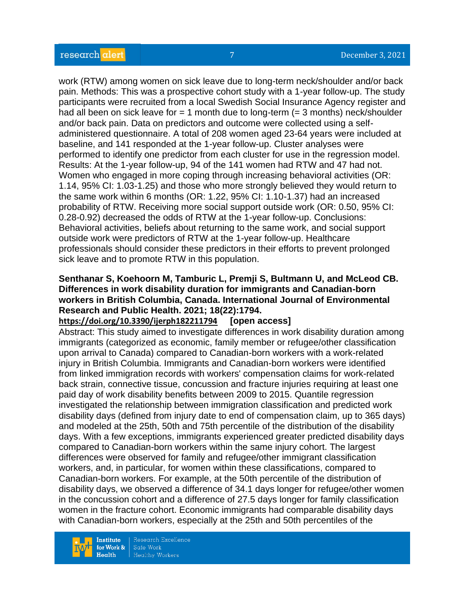work (RTW) among women on sick leave due to long-term neck/shoulder and/or back pain. Methods: This was a prospective cohort study with a 1-year follow-up. The study participants were recruited from a local Swedish Social Insurance Agency register and had all been on sick leave for  $= 1$  month due to long-term  $(= 3$  months) neck/shoulder and/or back pain. Data on predictors and outcome were collected using a selfadministered questionnaire. A total of 208 women aged 23-64 years were included at baseline, and 141 responded at the 1-year follow-up. Cluster analyses were performed to identify one predictor from each cluster for use in the regression model. Results: At the 1-year follow-up, 94 of the 141 women had RTW and 47 had not. Women who engaged in more coping through increasing behavioral activities (OR: 1.14, 95% CI: 1.03-1.25) and those who more strongly believed they would return to the same work within 6 months (OR: 1.22, 95% CI: 1.10-1.37) had an increased probability of RTW. Receiving more social support outside work (OR: 0.50, 95% CI: 0.28-0.92) decreased the odds of RTW at the 1-year follow-up. Conclusions: Behavioral activities, beliefs about returning to the same work, and social support outside work were predictors of RTW at the 1-year follow-up. Healthcare professionals should consider these predictors in their efforts to prevent prolonged sick leave and to promote RTW in this population.

## **Senthanar S, Koehoorn M, Tamburic L, Premji S, Bultmann U, and McLeod CB. Differences in work disability duration for immigrants and Canadian-born workers in British Columbia, Canada. International Journal of Environmental Research and Public Health. 2021; 18(22):1794.**

### **<https://doi.org/10.3390/ijerph182211794> [open access]**

Abstract: This study aimed to investigate differences in work disability duration among immigrants (categorized as economic, family member or refugee/other classification upon arrival to Canada) compared to Canadian-born workers with a work-related injury in British Columbia. Immigrants and Canadian-born workers were identified from linked immigration records with workers' compensation claims for work-related back strain, connective tissue, concussion and fracture injuries requiring at least one paid day of work disability benefits between 2009 to 2015. Quantile regression investigated the relationship between immigration classification and predicted work disability days (defined from injury date to end of compensation claim, up to 365 days) and modeled at the 25th, 50th and 75th percentile of the distribution of the disability days. With a few exceptions, immigrants experienced greater predicted disability days compared to Canadian-born workers within the same injury cohort. The largest differences were observed for family and refugee/other immigrant classification workers, and, in particular, for women within these classifications, compared to Canadian-born workers. For example, at the 50th percentile of the distribution of disability days, we observed a difference of 34.1 days longer for refugee/other women in the concussion cohort and a difference of 27.5 days longer for family classification women in the fracture cohort. Economic immigrants had comparable disability days with Canadian-born workers, especially at the 25th and 50th percentiles of the

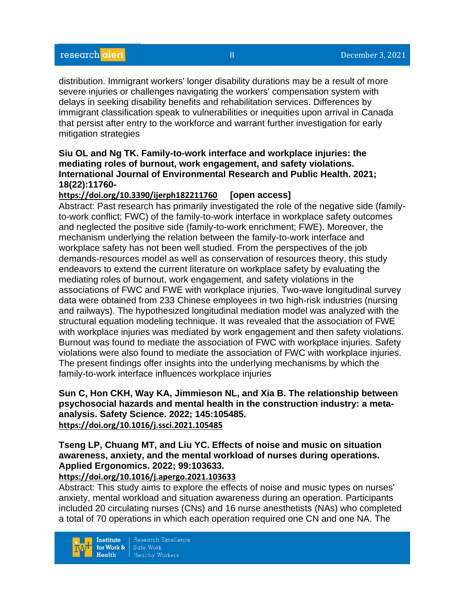distribution. Immigrant workers' longer disability durations may be a result of more severe injuries or challenges navigating the workers' compensation system with delays in seeking disability benefits and rehabilitation services. Differences by immigrant classification speak to vulnerabilities or inequities upon arrival in Canada that persist after entry to the workforce and warrant further investigation for early mitigation strategies

#### **Siu OL and Ng TK. Family-to-work interface and workplace injuries: the mediating roles of burnout, work engagement, and safety violations. International Journal of Environmental Research and Public Health. 2021; 18(22):11760-**

## **<https://doi.org/10.3390/ijerph182211760> [open access]**

Abstract: Past research has primarily investigated the role of the negative side (familyto-work conflict; FWC) of the family-to-work interface in workplace safety outcomes and neglected the positive side (family-to-work enrichment; FWE). Moreover, the mechanism underlying the relation between the family-to-work interface and workplace safety has not been well studied. From the perspectives of the job demands-resources model as well as conservation of resources theory, this study endeavors to extend the current literature on workplace safety by evaluating the mediating roles of burnout, work engagement, and safety violations in the associations of FWC and FWE with workplace injuries. Two-wave longitudinal survey data were obtained from 233 Chinese employees in two high-risk industries (nursing and railways). The hypothesized longitudinal mediation model was analyzed with the structural equation modeling technique. It was revealed that the association of FWE with workplace injuries was mediated by work engagement and then safety violations. Burnout was found to mediate the association of FWC with workplace injuries. Safety violations were also found to mediate the association of FWC with workplace injuries. The present findings offer insights into the underlying mechanisms by which the family-to-work interface influences workplace injuries

#### **Sun C, Hon CKH, Way KA, Jimmieson NL, and Xia B. The relationship between psychosocial hazards and mental health in the construction industry: a metaanalysis. Safety Science. 2022; 145:105485. <https://doi.org/10.1016/j.ssci.2021.105485>**

## **Tseng LP, Chuang MT, and Liu YC. Effects of noise and music on situation awareness, anxiety, and the mental workload of nurses during operations. Applied Ergonomics. 2022; 99:103633.**

## **<https://doi.org/10.1016/j.apergo.2021.103633>**

Abstract: This study aims to explore the effects of noise and music types on nurses' anxiety, mental workload and situation awareness during an operation. Participants included 20 circulating nurses (CNs) and 16 nurse anesthetists (NAs) who completed a total of 70 operations in which each operation required one CN and one NA. The

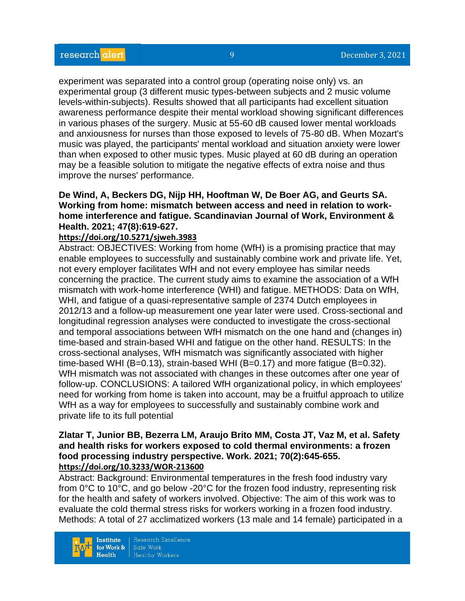experiment was separated into a control group (operating noise only) vs. an experimental group (3 different music types-between subjects and 2 music volume levels-within-subjects). Results showed that all participants had excellent situation awareness performance despite their mental workload showing significant differences in various phases of the surgery. Music at 55-60 dB caused lower mental workloads and anxiousness for nurses than those exposed to levels of 75-80 dB. When Mozart's music was played, the participants' mental workload and situation anxiety were lower than when exposed to other music types. Music played at 60 dB during an operation may be a feasible solution to mitigate the negative effects of extra noise and thus improve the nurses' performance.

#### **De Wind, A, Beckers DG, Nijp HH, Hooftman W, De Boer AG, and Geurts SA. Working from home: mismatch between access and need in relation to workhome interference and fatigue. Scandinavian Journal of Work, Environment & Health. 2021; 47(8):619-627.**

#### **<https://doi.org/10.5271/sjweh.3983>**

Abstract: OBJECTIVES: Working from home (WfH) is a promising practice that may enable employees to successfully and sustainably combine work and private life. Yet, not every employer facilitates WfH and not every employee has similar needs concerning the practice. The current study aims to examine the association of a WfH mismatch with work-home interference (WHI) and fatigue. METHODS: Data on WfH, WHI, and fatigue of a quasi-representative sample of 2374 Dutch employees in 2012/13 and a follow-up measurement one year later were used. Cross-sectional and longitudinal regression analyses were conducted to investigate the cross-sectional and temporal associations between WfH mismatch on the one hand and (changes in) time-based and strain-based WHI and fatigue on the other hand. RESULTS: In the cross-sectional analyses, WfH mismatch was significantly associated with higher time-based WHI (B=0.13), strain-based WHI (B=0.17) and more fatigue (B=0.32). WfH mismatch was not associated with changes in these outcomes after one year of follow-up. CONCLUSIONS: A tailored WfH organizational policy, in which employees' need for working from home is taken into account, may be a fruitful approach to utilize WfH as a way for employees to successfully and sustainably combine work and private life to its full potential

#### **Zlatar T, Junior BB, Bezerra LM, Araujo Brito MM, Costa JT, Vaz M, et al. Safety and health risks for workers exposed to cold thermal environments: a frozen food processing industry perspective. Work. 2021; 70(2):645-655. <https://doi.org/10.3233/WOR-213600>**

Abstract: Background: Environmental temperatures in the fresh food industry vary from 0°C to 10°C, and go below -20°C for the frozen food industry, representing risk for the health and safety of workers involved. Objective: The aim of this work was to evaluate the cold thermal stress risks for workers working in a frozen food industry. Methods: A total of 27 acclimatized workers (13 male and 14 female) participated in a